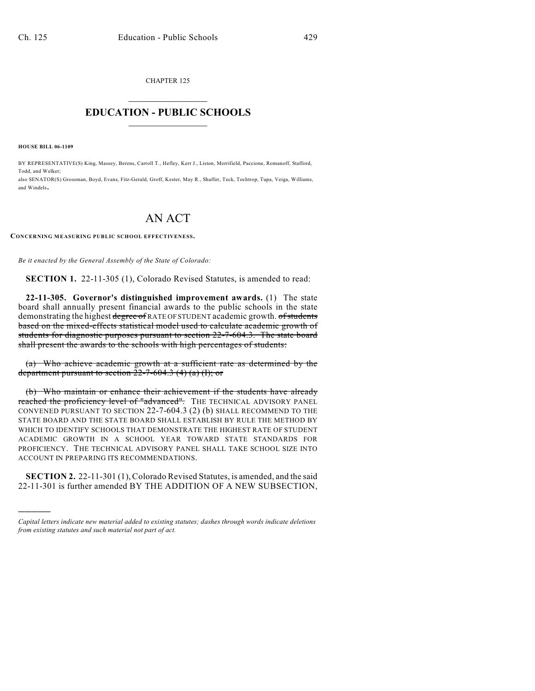CHAPTER 125  $\overline{\phantom{a}}$  . The set of the set of the set of the set of the set of the set of the set of the set of the set of the set of the set of the set of the set of the set of the set of the set of the set of the set of the set o

## **EDUCATION - PUBLIC SCHOOLS**  $\_$   $\_$   $\_$   $\_$   $\_$   $\_$   $\_$   $\_$   $\_$

**HOUSE BILL 06-1109**

)))))

BY REPRESENTATIVE(S) King, Massey, Berens, Carroll T., Hefley, Kerr J., Liston, Merrifield, Paccione, Romanoff, Stafford, Todd, and Welker; also SENATOR(S) Grossman, Boyd, Evans, Fitz-Gerald, Groff, Kester, May R., Shaffer, Teck, Tochtrop, Tupa, Veiga, Williams, and Windels.

## AN ACT

**CONCERNING MEASURING PUBLIC SCHOOL EFFECTIVENESS.**

*Be it enacted by the General Assembly of the State of Colorado:*

**SECTION 1.** 22-11-305 (1), Colorado Revised Statutes, is amended to read:

**22-11-305. Governor's distinguished improvement awards.** (1) The state board shall annually present financial awards to the public schools in the state demonstrating the highest degree of RATE OF STUDENT academic growth. of students based on the mixed-effects statistical model used to calculate academic growth of students for diagnostic purposes pursuant to section 22-7-604.3. The state board shall present the awards to the schools with high percentages of students:

(a) Who achieve academic growth at a sufficient rate as determined by the department pursuant to section  $22-7-604.3$  (4) (a) (I); or

(b) Who maintain or enhance their achievement if the students have already reached the proficiency level of "advanced". THE TECHNICAL ADVISORY PANEL CONVENED PURSUANT TO SECTION 22-7-604.3 (2) (b) SHALL RECOMMEND TO THE STATE BOARD AND THE STATE BOARD SHALL ESTABLISH BY RULE THE METHOD BY WHICH TO IDENTIFY SCHOOLS THAT DEMONSTRATE THE HIGHEST RATE OF STUDENT ACADEMIC GROWTH IN A SCHOOL YEAR TOWARD STATE STANDARDS FOR PROFICIENCY. THE TECHNICAL ADVISORY PANEL SHALL TAKE SCHOOL SIZE INTO ACCOUNT IN PREPARING ITS RECOMMENDATIONS.

**SECTION 2.** 22-11-301 (1), Colorado Revised Statutes, is amended, and the said 22-11-301 is further amended BY THE ADDITION OF A NEW SUBSECTION,

*Capital letters indicate new material added to existing statutes; dashes through words indicate deletions from existing statutes and such material not part of act.*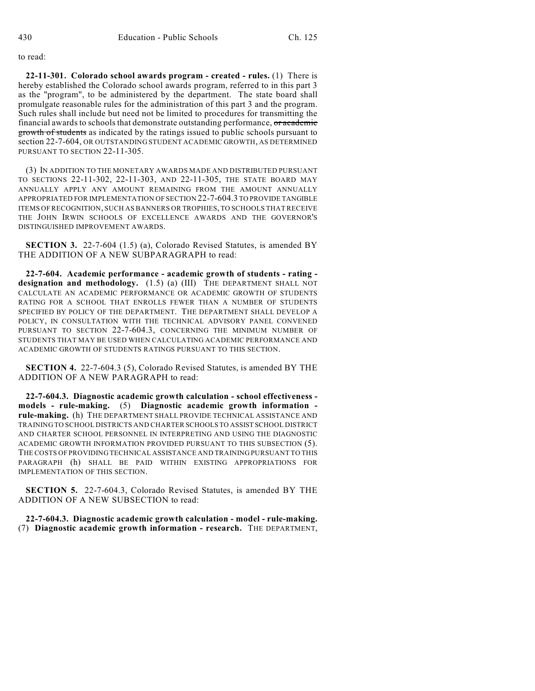to read:

**22-11-301. Colorado school awards program - created - rules.** (1) There is hereby established the Colorado school awards program, referred to in this part 3 as the "program", to be administered by the department. The state board shall promulgate reasonable rules for the administration of this part 3 and the program. Such rules shall include but need not be limited to procedures for transmitting the financial awards to schools that demonstrate outstanding performance, or academic growth of students as indicated by the ratings issued to public schools pursuant to section 22-7-604, OR OUTSTANDING STUDENT ACADEMIC GROWTH, AS DETERMINED PURSUANT TO SECTION 22-11-305

(3) IN ADDITION TO THE MONETARY AWARDS MADE AND DISTRIBUTED PURSUANT TO SECTIONS 22-11-302, 22-11-303, AND 22-11-305, THE STATE BOARD MAY ANNUALLY APPLY ANY AMOUNT REMAINING FROM THE AMOUNT ANNUALLY APPROPRIATED FOR IMPLEMENTATION OF SECTION 22-7-604.3 TO PROVIDE TANGIBLE ITEMS OF RECOGNITION, SUCH AS BANNERS OR TROPHIES, TO SCHOOLS THAT RECEIVE THE JOHN IRWIN SCHOOLS OF EXCELLENCE AWARDS AND THE GOVERNOR'S DISTINGUISHED IMPROVEMENT AWARDS.

**SECTION 3.** 22-7-604 (1.5) (a), Colorado Revised Statutes, is amended BY THE ADDITION OF A NEW SUBPARAGRAPH to read:

**22-7-604. Academic performance - academic growth of students - rating designation and methodology.** (1.5) (a) (III) THE DEPARTMENT SHALL NOT CALCULATE AN ACADEMIC PERFORMANCE OR ACADEMIC GROWTH OF STUDENTS RATING FOR A SCHOOL THAT ENROLLS FEWER THAN A NUMBER OF STUDENTS SPECIFIED BY POLICY OF THE DEPARTMENT. THE DEPARTMENT SHALL DEVELOP A POLICY, IN CONSULTATION WITH THE TECHNICAL ADVISORY PANEL CONVENED PURSUANT TO SECTION 22-7-604.3, CONCERNING THE MINIMUM NUMBER OF STUDENTS THAT MAY BE USED WHEN CALCULATING ACADEMIC PERFORMANCE AND ACADEMIC GROWTH OF STUDENTS RATINGS PURSUANT TO THIS SECTION.

**SECTION 4.** 22-7-604.3 (5), Colorado Revised Statutes, is amended BY THE ADDITION OF A NEW PARAGRAPH to read:

**22-7-604.3. Diagnostic academic growth calculation - school effectiveness models - rule-making.** (5) **Diagnostic academic growth information rule-making.** (h) THE DEPARTMENT SHALL PROVIDE TECHNICAL ASSISTANCE AND TRAINING TO SCHOOL DISTRICTS AND CHARTER SCHOOLS TO ASSIST SCHOOL DISTRICT AND CHARTER SCHOOL PERSONNEL IN INTERPRETING AND USING THE DIAGNOSTIC ACADEMIC GROWTH INFORMATION PROVIDED PURSUANT TO THIS SUBSECTION (5). THE COSTS OF PROVIDING TECHNICAL ASSISTANCE AND TRAINING PURSUANT TO THIS PARAGRAPH (h) SHALL BE PAID WITHIN EXISTING APPROPRIATIONS FOR IMPLEMENTATION OF THIS SECTION.

**SECTION 5.** 22-7-604.3, Colorado Revised Statutes, is amended BY THE ADDITION OF A NEW SUBSECTION to read:

**22-7-604.3. Diagnostic academic growth calculation - model - rule-making.** (7) **Diagnostic academic growth information - research.** THE DEPARTMENT,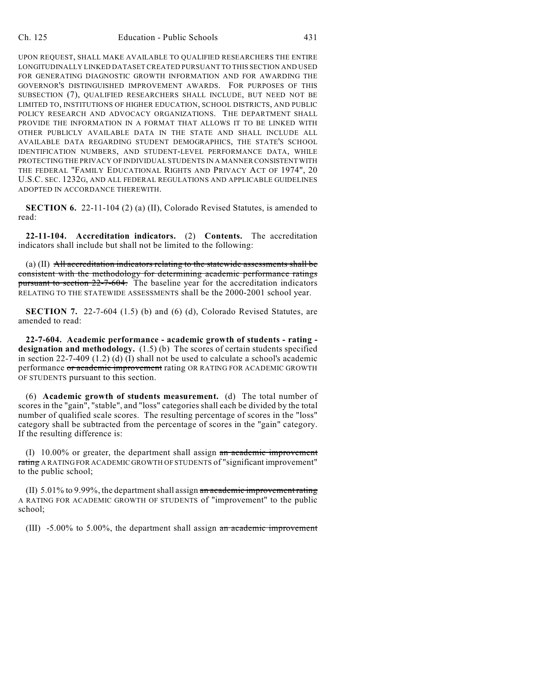UPON REQUEST, SHALL MAKE AVAILABLE TO QUALIFIED RESEARCHERS THE ENTIRE LONGITUDINALLY LINKED DATASET CREATED PURSUANT TO THIS SECTION AND USED FOR GENERATING DIAGNOSTIC GROWTH INFORMATION AND FOR AWARDING THE GOVERNOR'S DISTINGUISHED IMPROVEMENT AWARDS. FOR PURPOSES OF THIS SUBSECTION (7), QUALIFIED RESEARCHERS SHALL INCLUDE, BUT NEED NOT BE LIMITED TO, INSTITUTIONS OF HIGHER EDUCATION, SCHOOL DISTRICTS, AND PUBLIC POLICY RESEARCH AND ADVOCACY ORGANIZATIONS. THE DEPARTMENT SHALL PROVIDE THE INFORMATION IN A FORMAT THAT ALLOWS IT TO BE LINKED WITH OTHER PUBLICLY AVAILABLE DATA IN THE STATE AND SHALL INCLUDE ALL AVAILABLE DATA REGARDING STUDENT DEMOGRAPHICS, THE STATE'S SCHOOL IDENTIFICATION NUMBERS, AND STUDENT-LEVEL PERFORMANCE DATA, WHILE PROTECTING THE PRIVACY OF INDIVIDUAL STUDENTS IN A MANNER CONSISTENT WITH THE FEDERAL "FAMILY EDUCATIONAL RIGHTS AND PRIVACY ACT OF 1974", 20 U.S.C. SEC. 1232G, AND ALL FEDERAL REGULATIONS AND APPLICABLE GUIDELINES ADOPTED IN ACCORDANCE THEREWITH.

**SECTION 6.** 22-11-104 (2) (a) (II), Colorado Revised Statutes, is amended to read:

**22-11-104. Accreditation indicators.** (2) **Contents.** The accreditation indicators shall include but shall not be limited to the following:

(a) (II) All accreditation indicators relating to the statewide assessments shall be consistent with the methodology for determining academic performance ratings pursuant to section 22-7-604. The baseline year for the accreditation indicators RELATING TO THE STATEWIDE ASSESSMENTS shall be the 2000-2001 school year.

**SECTION 7.** 22-7-604 (1.5) (b) and (6) (d), Colorado Revised Statutes, are amended to read:

**22-7-604. Academic performance - academic growth of students - rating designation and methodology.** (1.5) (b) The scores of certain students specified in section 22-7-409 (1.2) (d) (I) shall not be used to calculate a school's academic performance or academic improvement rating OR RATING FOR ACADEMIC GROWTH OF STUDENTS pursuant to this section.

(6) **Academic growth of students measurement.** (d) The total number of scores in the "gain", "stable", and "loss" categories shall each be divided by the total number of qualified scale scores. The resulting percentage of scores in the "loss" category shall be subtracted from the percentage of scores in the "gain" category. If the resulting difference is:

 $(1)$  10.00% or greater, the department shall assign an academic improvement rating A RATING FOR ACADEMIC GROWTH OF STUDENTS of "significant improvement" to the public school;

(II)  $5.01\%$  to 9.99%, the department shall assign an academic improvement rating A RATING FOR ACADEMIC GROWTH OF STUDENTS of "improvement" to the public school;

(III) -5.00% to 5.00%, the department shall assign an academic improvement